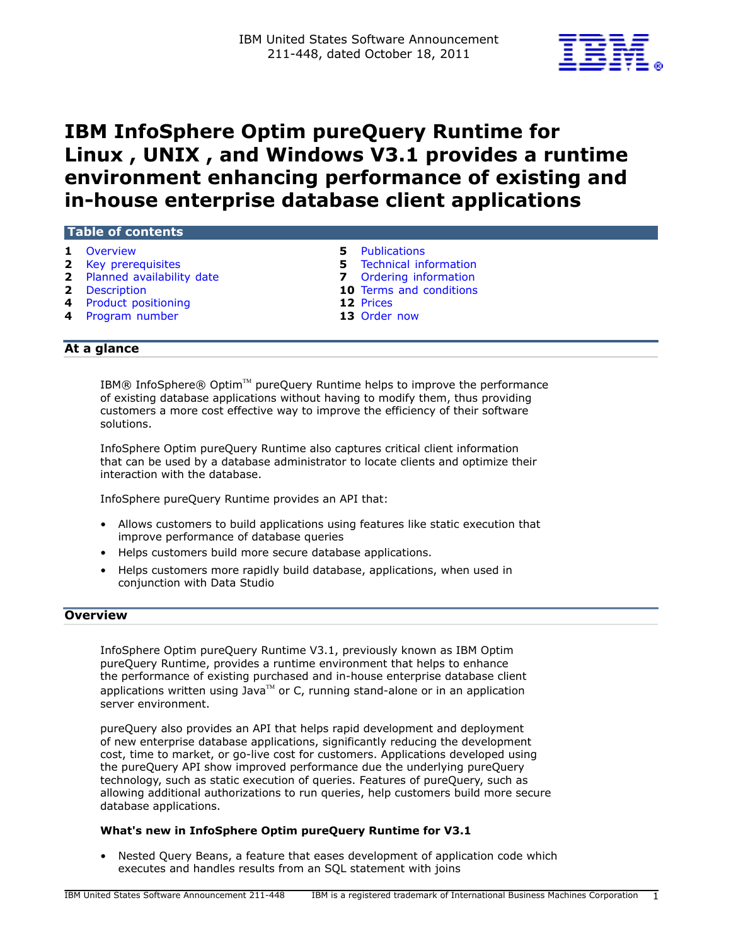

# IBM InfoSphere Optim pureQuery Runtime for Linux , UNIX , and Windows V3.1 provides a runtime environment enhancing performance of existing and in-house enterprise database client applications

# Table of contents

- 
- 
- 2 [Planned availability date](#page-1-1) **7** Ordering information
- 
- **4** [Product positioning](#page-3-0) **12 Prices**
- **4** [Program number](#page-3-1) **13** [Order now](#page-12-0)
- 1 [Overview](#page-0-0) 5 Publications
- 2 [Key prerequisites](#page-1-0) and the state of the S Technical information
	-
- **2** [Description](#page-1-2) **10** Terms and conditions
	-
	-

# At a glance

IBM® InfoSphere® Optim $T^M$  pureQuery Runtime helps to improve the performance of existing database applications without having to modify them, thus providing customers a more cost effective way to improve the efficiency of their software solutions.

InfoSphere Optim pureQuery Runtime also captures critical client information that can be used by a database administrator to locate clients and optimize their interaction with the database.

InfoSphere pureQuery Runtime provides an API that:

- Allows customers to build applications using features like static execution that improve performance of database queries
- Helps customers build more secure database applications.
- Helps customers more rapidly build database, applications, when used in conjunction with Data Studio

# <span id="page-0-0"></span>**Overview**

InfoSphere Optim pureQuery Runtime V3.1, previously known as IBM Optim pureQuery Runtime, provides a runtime environment that helps to enhance the performance of existing purchased and in-house enterprise database client applications written using Java $TM$  or C, running stand-alone or in an application server environment.

pureQuery also provides an API that helps rapid development and deployment of new enterprise database applications, significantly reducing the development cost, time to market, or go-live cost for customers. Applications developed using the pureQuery API show improved performance due the underlying pureQuery technology, such as static execution of queries. Features of pureQuery, such as allowing additional authorizations to run queries, help customers build more secure database applications.

## What's new in InfoSphere Optim pureQuery Runtime for V3.1

• Nested Query Beans, a feature that eases development of application code which executes and handles results from an SQL statement with joins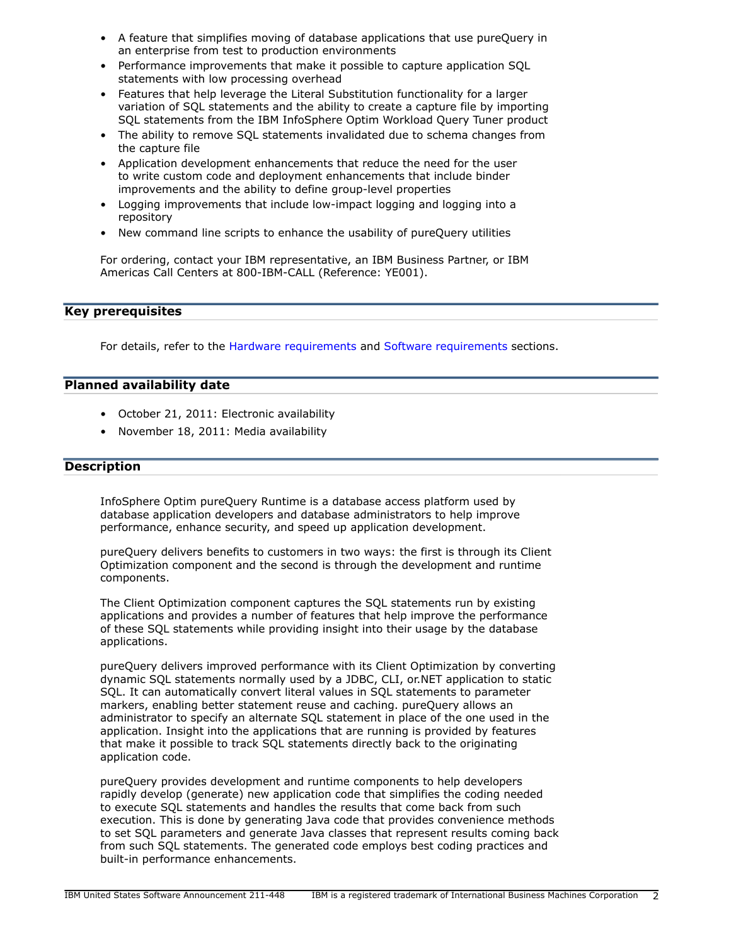- A feature that simplifies moving of database applications that use pureQuery in an enterprise from test to production environments
- Performance improvements that make it possible to capture application SQL statements with low processing overhead
- Features that help leverage the Literal Substitution functionality for a larger variation of SQL statements and the ability to create a capture file by importing SQL statements from the IBM InfoSphere Optim Workload Query Tuner product
- The ability to remove SQL statements invalidated due to schema changes from the capture file
- Application development enhancements that reduce the need for the user to write custom code and deployment enhancements that include binder improvements and the ability to define group-level properties
- Logging improvements that include low-impact logging and logging into a repository
- New command line scripts to enhance the usability of pureQuery utilities

For ordering, contact your IBM representative, an IBM Business Partner, or IBM Americas Call Centers at 800-IBM-CALL (Reference: YE001).

# <span id="page-1-0"></span>Key prerequisites

For details, refer to the [Hardware requirements](#page-4-2) and [Software requirements](#page-4-3) sections.

# <span id="page-1-1"></span>Planned availability date

- October 21, 2011: Electronic availability
- November 18, 2011: Media availability

# <span id="page-1-2"></span>Description

InfoSphere Optim pureQuery Runtime is a database access platform used by database application developers and database administrators to help improve performance, enhance security, and speed up application development.

pureQuery delivers benefits to customers in two ways: the first is through its Client Optimization component and the second is through the development and runtime components.

The Client Optimization component captures the SQL statements run by existing applications and provides a number of features that help improve the performance of these SQL statements while providing insight into their usage by the database applications.

pureQuery delivers improved performance with its Client Optimization by converting dynamic SQL statements normally used by a JDBC, CLI, or.NET application to static SQL. It can automatically convert literal values in SQL statements to parameter markers, enabling better statement reuse and caching. pureQuery allows an administrator to specify an alternate SQL statement in place of the one used in the application. Insight into the applications that are running is provided by features that make it possible to track SQL statements directly back to the originating application code.

pureQuery provides development and runtime components to help developers rapidly develop (generate) new application code that simplifies the coding needed to execute SQL statements and handles the results that come back from such execution. This is done by generating Java code that provides convenience methods to set SQL parameters and generate Java classes that represent results coming back from such SQL statements. The generated code employs best coding practices and built-in performance enhancements.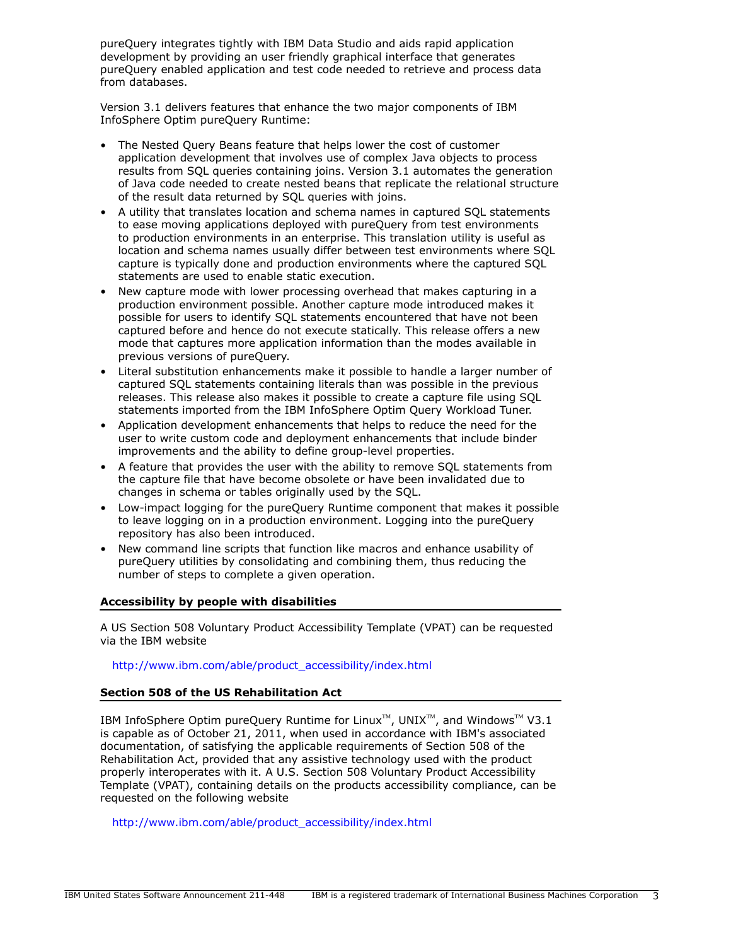pureQuery integrates tightly with IBM Data Studio and aids rapid application development by providing an user friendly graphical interface that generates pureQuery enabled application and test code needed to retrieve and process data from databases.

Version 3.1 delivers features that enhance the two major components of IBM InfoSphere Optim pureQuery Runtime:

- The Nested Query Beans feature that helps lower the cost of customer application development that involves use of complex Java objects to process results from SQL queries containing joins. Version 3.1 automates the generation of Java code needed to create nested beans that replicate the relational structure of the result data returned by SQL queries with joins.
- A utility that translates location and schema names in captured SQL statements to ease moving applications deployed with pureQuery from test environments to production environments in an enterprise. This translation utility is useful as location and schema names usually differ between test environments where SQL capture is typically done and production environments where the captured SQL statements are used to enable static execution.
- New capture mode with lower processing overhead that makes capturing in a production environment possible. Another capture mode introduced makes it possible for users to identify SQL statements encountered that have not been captured before and hence do not execute statically. This release offers a new mode that captures more application information than the modes available in previous versions of pureQuery.
- Literal substitution enhancements make it possible to handle a larger number of captured SQL statements containing literals than was possible in the previous releases. This release also makes it possible to create a capture file using SQL statements imported from the IBM InfoSphere Optim Query Workload Tuner.
- Application development enhancements that helps to reduce the need for the user to write custom code and deployment enhancements that include binder improvements and the ability to define group-level properties.
- A feature that provides the user with the ability to remove SQL statements from the capture file that have become obsolete or have been invalidated due to changes in schema or tables originally used by the SQL.
- Low-impact logging for the pureQuery Runtime component that makes it possible to leave logging on in a production environment. Logging into the pureQuery repository has also been introduced.
- New command line scripts that function like macros and enhance usability of pureQuery utilities by consolidating and combining them, thus reducing the number of steps to complete a given operation.

# Accessibility by people with disabilities

A US Section 508 Voluntary Product Accessibility Template (VPAT) can be requested via the IBM website

[http://www.ibm.com/able/product\\_accessibility/index.html](http://www.ibm.com/able/product_accessibility/index.html)

# Section 508 of the US Rehabilitation Act

IBM InfoSphere Optim pureQuery Runtime for Linux<sup>TM</sup>, UNIX<sup>TM</sup>, and Windows<sup>TM</sup> V3.1 is capable as of October 21, 2011, when used in accordance with IBM's associated documentation, of satisfying the applicable requirements of Section 508 of the Rehabilitation Act, provided that any assistive technology used with the product properly interoperates with it. A U.S. Section 508 Voluntary Product Accessibility Template (VPAT), containing details on the products accessibility compliance, can be requested on the following website

[http://www.ibm.com/able/product\\_accessibility/index.html](http://www.ibm.com/able/product_accessibility/index.html)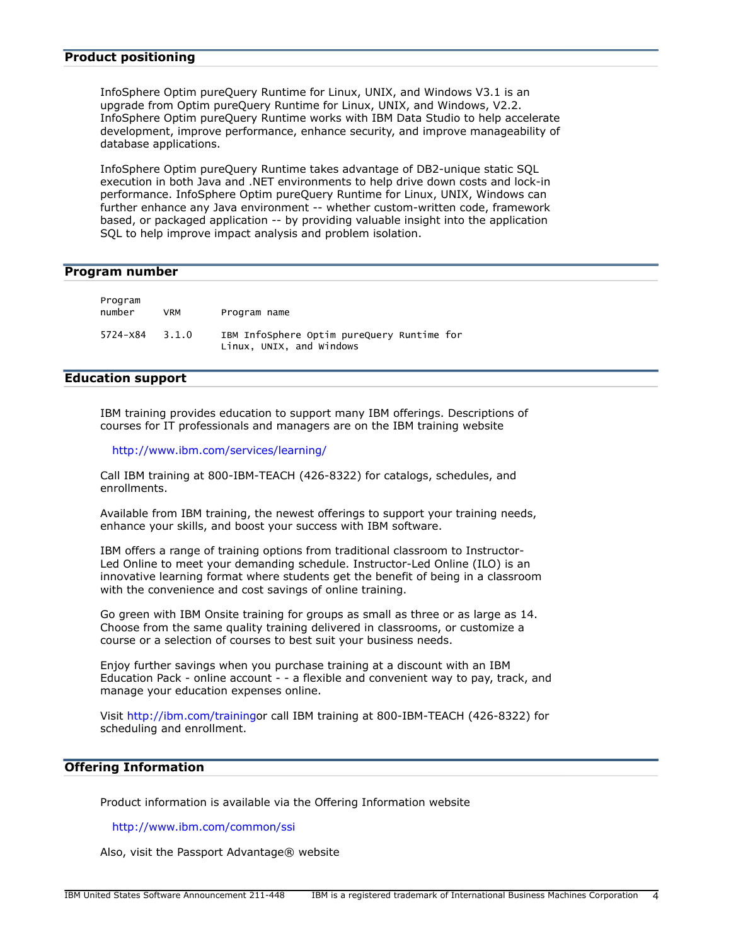# <span id="page-3-0"></span>Product positioning

InfoSphere Optim pureQuery Runtime for Linux, UNIX, and Windows V3.1 is an upgrade from Optim pureQuery Runtime for Linux, UNIX, and Windows, V2.2. InfoSphere Optim pureQuery Runtime works with IBM Data Studio to help accelerate development, improve performance, enhance security, and improve manageability of database applications.

InfoSphere Optim pureQuery Runtime takes advantage of DB2-unique static SQL execution in both Java and .NET environments to help drive down costs and lock-in performance. InfoSphere Optim pureQuery Runtime for Linux, UNIX, Windows can further enhance any Java environment -- whether custom-written code, framework based, or packaged application -- by providing valuable insight into the application SQL to help improve impact analysis and problem isolation.

## <span id="page-3-1"></span>Program number

| Program<br>number | <b>VRM</b> | Program name                                                           |
|-------------------|------------|------------------------------------------------------------------------|
| 5724-X84          | 3.1.0      | IBM InfoSphere Optim pureQuery Runtime for<br>Linux, UNIX, and Windows |

# Education support

IBM training provides education to support many IBM offerings. Descriptions of courses for IT professionals and managers are on the IBM training website

#### <http://www.ibm.com/services/learning/>

Call IBM training at 800-IBM-TEACH (426-8322) for catalogs, schedules, and enrollments.

Available from IBM training, the newest offerings to support your training needs, enhance your skills, and boost your success with IBM software.

IBM offers a range of training options from traditional classroom to Instructor-Led Online to meet your demanding schedule. Instructor-Led Online (ILO) is an innovative learning format where students get the benefit of being in a classroom with the convenience and cost savings of online training.

Go green with IBM Onsite training for groups as small as three or as large as 14. Choose from the same quality training delivered in classrooms, or customize a course or a selection of courses to best suit your business needs.

Enjoy further savings when you purchase training at a discount with an IBM Education Pack - online account - - a flexible and convenient way to pay, track, and manage your education expenses online.

Visit [http://ibm.com/trainingo](http://ibm.com/training)r call IBM training at 800-IBM-TEACH (426-8322) for scheduling and enrollment.

# Offering Information

Product information is available via the Offering Information website

<http://www.ibm.com/common/ssi>

Also, visit the Passport Advantage® website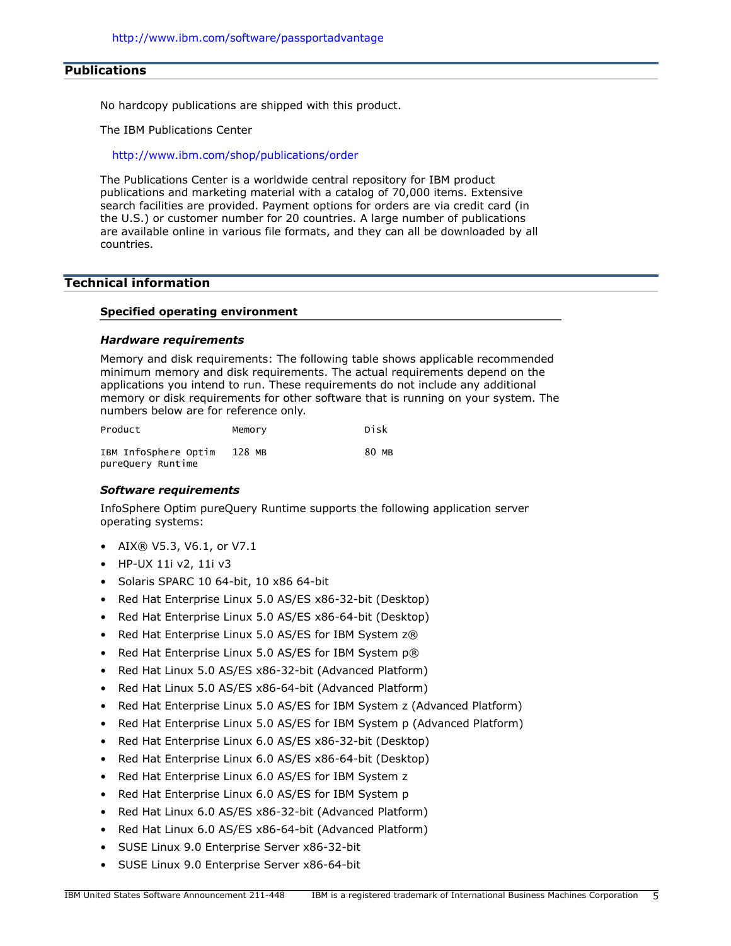# <span id="page-4-0"></span>**Publications**

No hardcopy publications are shipped with this product.

The IBM Publications Center

<http://www.ibm.com/shop/publications/order>

The Publications Center is a worldwide central repository for IBM product publications and marketing material with a catalog of 70,000 items. Extensive search facilities are provided. Payment options for orders are via credit card (in the U.S.) or customer number for 20 countries. A large number of publications are available online in various file formats, and they can all be downloaded by all countries.

# <span id="page-4-1"></span>Technical information

# Specified operating environment

#### <span id="page-4-2"></span>*Hardware requirements*

Memory and disk requirements: The following table shows applicable recommended minimum memory and disk requirements. The actual requirements depend on the applications you intend to run. These requirements do not include any additional memory or disk requirements for other software that is running on your system. The numbers below are for reference only.

| Product              | Memory | Disk  |
|----------------------|--------|-------|
| IBM InfoSphere Optim | 128 MB | 80 MB |
| pureOuery Runtime    |        |       |

## <span id="page-4-3"></span>*Software requirements*

InfoSphere Optim pureQuery Runtime supports the following application server operating systems:

- AIX® V5.3, V6.1, or V7.1
- HP-UX 11i v2, 11i v3
- Solaris SPARC 10 64-bit, 10 x86 64-bit
- Red Hat Enterprise Linux 5.0 AS/ES x86-32-bit (Desktop)
- Red Hat Enterprise Linux 5.0 AS/ES x86-64-bit (Desktop)
- Red Hat Enterprise Linux 5.0 AS/ES for IBM System z®
- Red Hat Enterprise Linux 5.0 AS/ES for IBM System p®
- Red Hat Linux 5.0 AS/ES x86-32-bit (Advanced Platform)
- Red Hat Linux 5.0 AS/ES x86-64-bit (Advanced Platform)
- Red Hat Enterprise Linux 5.0 AS/ES for IBM System z (Advanced Platform)
- Red Hat Enterprise Linux 5.0 AS/ES for IBM System p (Advanced Platform)
- Red Hat Enterprise Linux 6.0 AS/ES x86-32-bit (Desktop)
- Red Hat Enterprise Linux 6.0 AS/ES x86-64-bit (Desktop)
- Red Hat Enterprise Linux 6.0 AS/ES for IBM System z
- Red Hat Enterprise Linux 6.0 AS/ES for IBM System p
- Red Hat Linux 6.0 AS/ES x86-32-bit (Advanced Platform)
- Red Hat Linux 6.0 AS/ES x86-64-bit (Advanced Platform)
- SUSE Linux 9.0 Enterprise Server x86-32-bit
- SUSE Linux 9.0 Enterprise Server x86-64-bit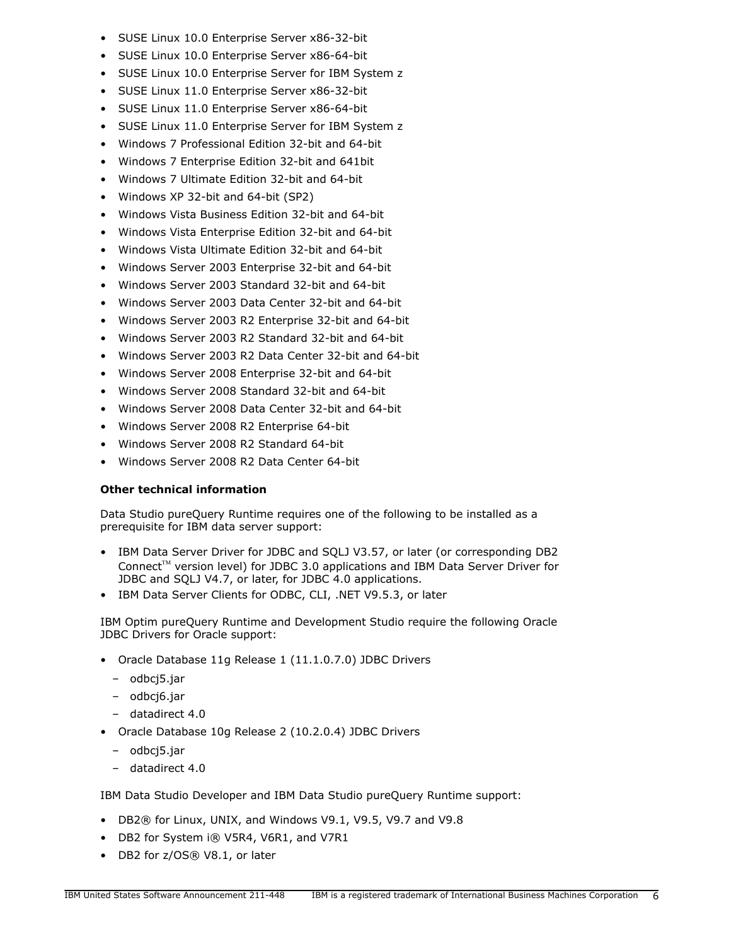- SUSE Linux 10.0 Enterprise Server x86-32-bit
- SUSE Linux 10.0 Enterprise Server x86-64-bit
- SUSE Linux 10.0 Enterprise Server for IBM System z
- SUSE Linux 11.0 Enterprise Server x86-32-bit
- SUSE Linux 11.0 Enterprise Server x86-64-bit
- SUSE Linux 11.0 Enterprise Server for IBM System z
- Windows 7 Professional Edition 32-bit and 64-bit
- Windows 7 Enterprise Edition 32-bit and 641bit
- Windows 7 Ultimate Edition 32-bit and 64-bit
- Windows XP 32-bit and 64-bit (SP2)
- Windows Vista Business Edition 32-bit and 64-bit
- Windows Vista Enterprise Edition 32-bit and 64-bit
- Windows Vista Ultimate Edition 32-bit and 64-bit
- Windows Server 2003 Enterprise 32-bit and 64-bit
- Windows Server 2003 Standard 32-bit and 64-bit
- Windows Server 2003 Data Center 32-bit and 64-bit
- Windows Server 2003 R2 Enterprise 32-bit and 64-bit
- Windows Server 2003 R2 Standard 32-bit and 64-bit
- Windows Server 2003 R2 Data Center 32-bit and 64-bit
- Windows Server 2008 Enterprise 32-bit and 64-bit
- Windows Server 2008 Standard 32-bit and 64-bit
- Windows Server 2008 Data Center 32-bit and 64-bit
- Windows Server 2008 R2 Enterprise 64-bit
- Windows Server 2008 R2 Standard 64-bit
- Windows Server 2008 R2 Data Center 64-bit

# Other technical information

Data Studio pureQuery Runtime requires one of the following to be installed as a prerequisite for IBM data server support:

- IBM Data Server Driver for JDBC and SQLJ V3.57, or later (or corresponding DB2 Connect<sup>TM</sup> version level) for JDBC 3.0 applications and IBM Data Server Driver for JDBC and SQLJ V4.7, or later, for JDBC 4.0 applications.
- IBM Data Server Clients for ODBC, CLI, .NET V9.5.3, or later

IBM Optim pureQuery Runtime and Development Studio require the following Oracle JDBC Drivers for Oracle support:

- Oracle Database 11g Release 1 (11.1.0.7.0) JDBC Drivers
	- odbcj5.jar
	- odbcj6.jar
	- datadirect 4.0
- Oracle Database 10g Release 2 (10.2.0.4) JDBC Drivers
	- odbcj5.jar
	- datadirect 4.0

IBM Data Studio Developer and IBM Data Studio pureQuery Runtime support:

- DB2® for Linux, UNIX, and Windows V9.1, V9.5, V9.7 and V9.8
- DB2 for System i® V5R4, V6R1, and V7R1
- DB2 for z/OS® V8.1, or later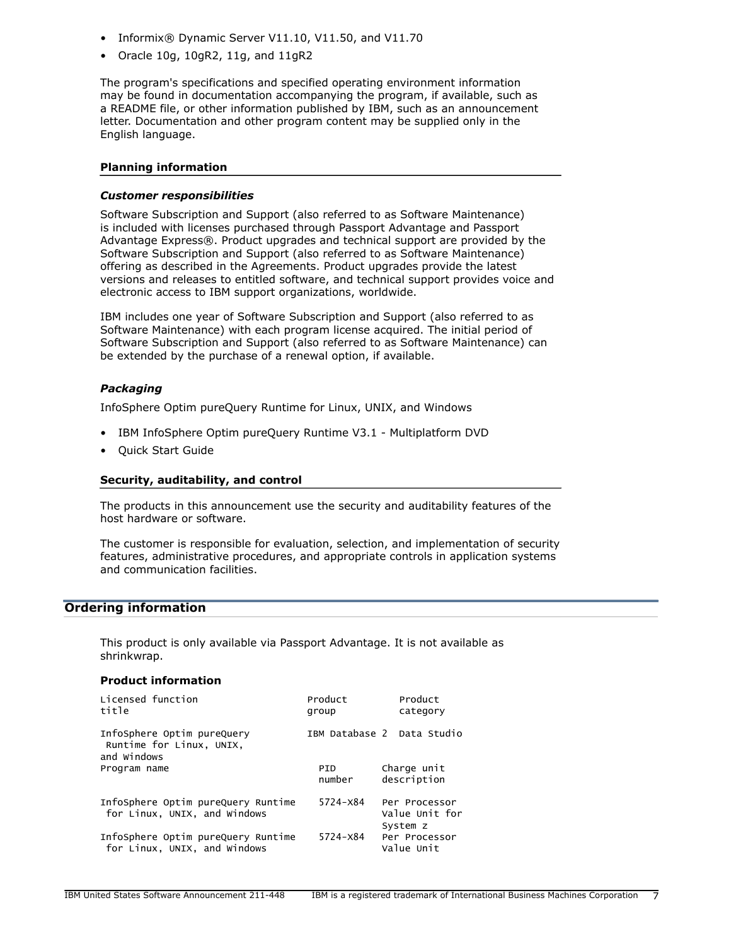- Informix® Dynamic Server V11.10, V11.50, and V11.70
- Oracle 10g, 10gR2, 11g, and 11gR2

The program's specifications and specified operating environment information may be found in documentation accompanying the program, if available, such as a README file, or other information published by IBM, such as an announcement letter. Documentation and other program content may be supplied only in the English language.

## Planning information

#### *Customer responsibilities*

Software Subscription and Support (also referred to as Software Maintenance) is included with licenses purchased through Passport Advantage and Passport Advantage Express®. Product upgrades and technical support are provided by the Software Subscription and Support (also referred to as Software Maintenance) offering as described in the Agreements. Product upgrades provide the latest versions and releases to entitled software, and technical support provides voice and electronic access to IBM support organizations, worldwide.

IBM includes one year of Software Subscription and Support (also referred to as Software Maintenance) with each program license acquired. The initial period of Software Subscription and Support (also referred to as Software Maintenance) can be extended by the purchase of a renewal option, if available.

## *Packaging*

InfoSphere Optim pureQuery Runtime for Linux, UNIX, and Windows

- IBM InfoSphere Optim pureQuery Runtime V3.1 Multiplatform DVD
- Quick Start Guide

#### Security, auditability, and control

The products in this announcement use the security and auditability features of the host hardware or software.

The customer is responsible for evaluation, selection, and implementation of security features, administrative procedures, and appropriate controls in application systems and communication facilities.

# <span id="page-6-0"></span>Ordering information

This product is only available via Passport Advantage. It is not available as shrinkwrap.

#### Product information

| Licensed function<br>title                                            | Product<br>group | Product<br>category                         |
|-----------------------------------------------------------------------|------------------|---------------------------------------------|
| InfoSphere Optim pureQuery<br>Runtime for Linux, UNIX,<br>and Windows |                  | IBM Database 2 Data Studio                  |
| Program name                                                          | PID.<br>number   | Charge unit<br>description                  |
| InfoSphere Optim pureQuery Runtime<br>for Linux, UNIX, and Windows    | 5724-X84         | Per Processor<br>Value Unit for<br>System z |
| InfoSphere Optim pureQuery Runtime<br>for Linux, UNIX, and Windows    | 5724-X84         | Per Processor<br>Value Unit                 |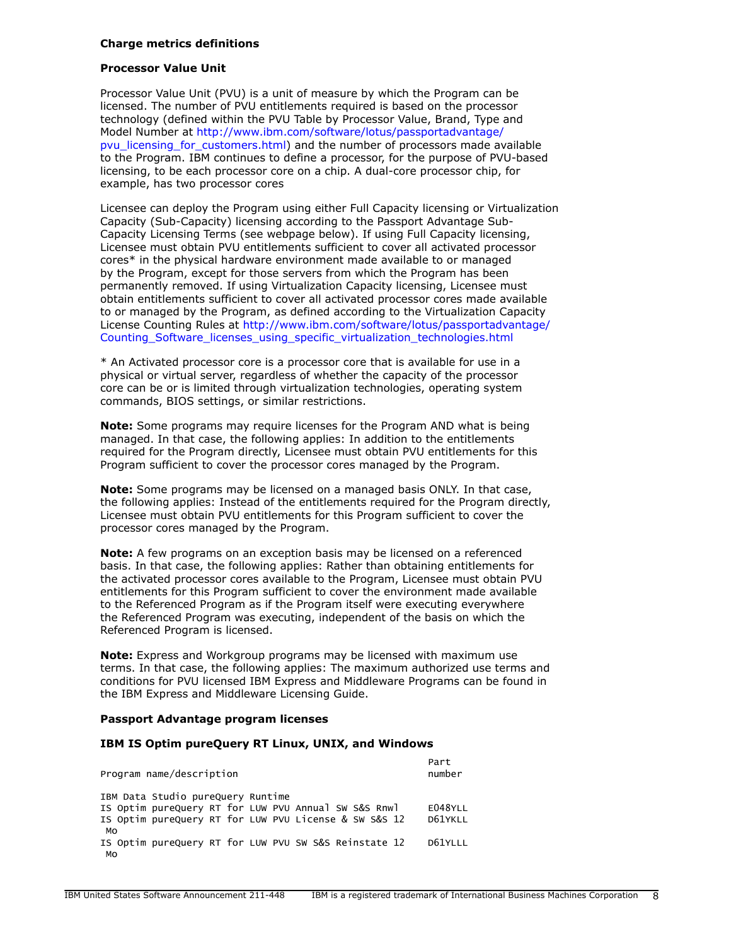## Charge metrics definitions

## Processor Value Unit

Processor Value Unit (PVU) is a unit of measure by which the Program can be licensed. The number of PVU entitlements required is based on the processor technology (defined within the PVU Table by Processor Value, Brand, Type and Model Number at [http://www.ibm.com/software/lotus/passportadvantage/](http://www.ibm.com/software/lotus/passportadvantage/pvu_licensing_for_customers.html) [pvu\\_licensing\\_for\\_customers.html\)](http://www.ibm.com/software/lotus/passportadvantage/pvu_licensing_for_customers.html) and the number of processors made available to the Program. IBM continues to define a processor, for the purpose of PVU-based licensing, to be each processor core on a chip. A dual-core processor chip, for example, has two processor cores

Licensee can deploy the Program using either Full Capacity licensing or Virtualization Capacity (Sub-Capacity) licensing according to the Passport Advantage Sub-Capacity Licensing Terms (see webpage below). If using Full Capacity licensing, Licensee must obtain PVU entitlements sufficient to cover all activated processor cores\* in the physical hardware environment made available to or managed by the Program, except for those servers from which the Program has been permanently removed. If using Virtualization Capacity licensing, Licensee must obtain entitlements sufficient to cover all activated processor cores made available to or managed by the Program, as defined according to the Virtualization Capacity License Counting Rules at [http://www.ibm.com/software/lotus/passportadvantage/](http://www.ibm.com/software/lotus/passportadvantage/Counting_Software_licenses_using_specific_virtualization_technologies.html) Counting Software licenses using specific virtualization technologies.html

\* An Activated processor core is a processor core that is available for use in a physical or virtual server, regardless of whether the capacity of the processor core can be or is limited through virtualization technologies, operating system commands, BIOS settings, or similar restrictions.

Note: Some programs may require licenses for the Program AND what is being managed. In that case, the following applies: In addition to the entitlements required for the Program directly, Licensee must obtain PVU entitlements for this Program sufficient to cover the processor cores managed by the Program.

Note: Some programs may be licensed on a managed basis ONLY. In that case, the following applies: Instead of the entitlements required for the Program directly, Licensee must obtain PVU entitlements for this Program sufficient to cover the processor cores managed by the Program.

Note: A few programs on an exception basis may be licensed on a referenced basis. In that case, the following applies: Rather than obtaining entitlements for the activated processor cores available to the Program, Licensee must obtain PVU entitlements for this Program sufficient to cover the environment made available to the Referenced Program as if the Program itself were executing everywhere the Referenced Program was executing, independent of the basis on which the Referenced Program is licensed.

Note: Express and Workgroup programs may be licensed with maximum use terms. In that case, the following applies: The maximum authorized use terms and conditions for PVU licensed IBM Express and Middleware Programs can be found in the IBM Express and Middleware Licensing Guide.

#### Passport Advantage program licenses

#### IBM IS Optim pureQuery RT Linux, UNIX, and Windows

| Program name/description                                                                                                                                 | Part<br>number     |
|----------------------------------------------------------------------------------------------------------------------------------------------------------|--------------------|
| IBM Data Studio pureQuery Runtime<br>IS Optim pureQuery RT for LUW PVU Annual SW S&S Rnwl<br>IS Optim pureQuery RT for LUW PVU License & SW S&S 12<br>MO | E048YLL<br>D61YKLL |
| IS Optim pureQuery RT for LUW PVU SW S&S Reinstate 12<br>Mo                                                                                              | D61YLLL            |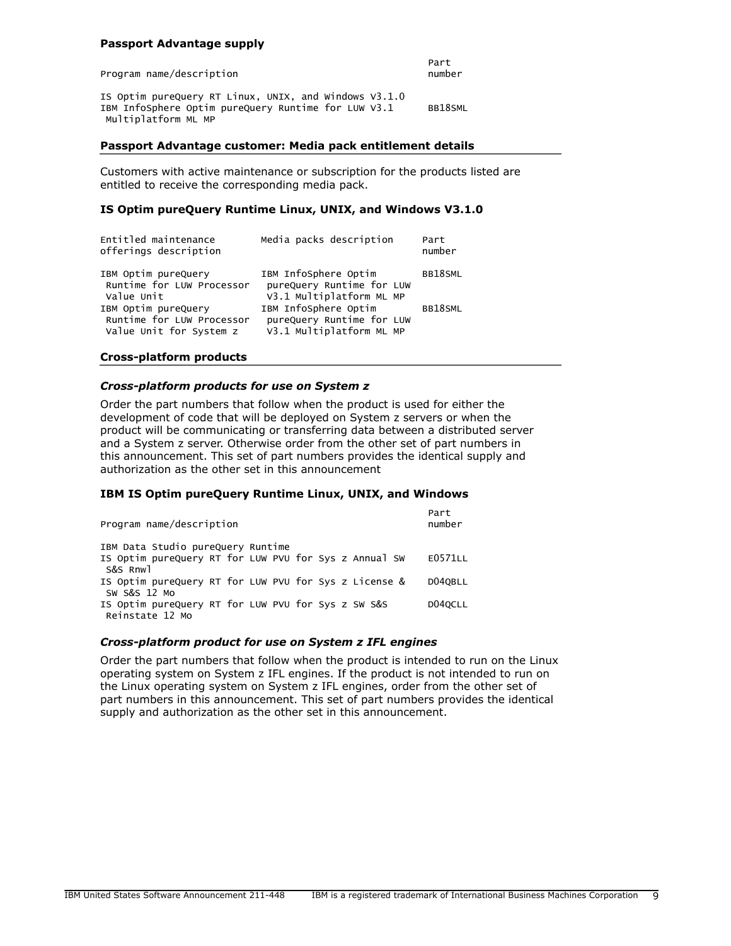#### Passport Advantage supply

|                          | Part   |
|--------------------------|--------|
| Program name/description | number |

IS Optim pureQuery RT Linux, UNIX, and Windows V3.1.0 IBM InfoSphere Optim pureQuery Runtime for LUW V3.1 BB18SML Multiplatform ML MP

#### Passport Advantage customer: Media pack entitlement details

Customers with active maintenance or subscription for the products listed are entitled to receive the corresponding media pack.

# IS Optim pureQuery Runtime Linux, UNIX, and Windows V3.1.0

| Entitled maintenance<br>offerings description                               | Media packs description                                                       | Part<br>number |
|-----------------------------------------------------------------------------|-------------------------------------------------------------------------------|----------------|
| IBM Optim pureQuery<br>Runtime for LUW Processor<br>Value Unit              | IBM InfoSphere Optim<br>pureQuery Runtime for LUW<br>V3.1 Multiplatform ML MP | BB18SML        |
| IBM Optim pureQuery<br>Runtime for LUW Processor<br>Value Unit for System z | IBM InfoSphere Optim<br>pureQuery Runtime for LUW<br>V3.1 Multiplatform ML MP | BB18SML        |

#### Cross-platform products

#### *Cross-platform products for use on System z*

Order the part numbers that follow when the product is used for either the development of code that will be deployed on System z servers or when the product will be communicating or transferring data between a distributed server and a System z server. Otherwise order from the other set of part numbers in this announcement. This set of part numbers provides the identical supply and authorization as the other set in this announcement

#### IBM IS Optim pureQuery Runtime Linux, UNIX, and Windows

| Program name/description                              | Part<br>number |
|-------------------------------------------------------|----------------|
| IBM Data Studio pureQuery Runtime                     |                |
| IS Optim pureQuery RT for LUW PVU for Sys z Annual SW | E0571LL        |
| S&S Rnwl                                              |                |
| IS Optim pureQuery RT for LUW PVU for Sys z License & | D040BLL        |
| SW S&S 12 Mo                                          |                |
| IS Optim pureQuery RT for LUW PVU for Sys z SW S&S    | D040CLL        |
| Reinstate 12 Mo                                       |                |

#### *Cross-platform product for use on System z IFL engines*

Order the part numbers that follow when the product is intended to run on the Linux operating system on System z IFL engines. If the product is not intended to run on the Linux operating system on System z IFL engines, order from the other set of part numbers in this announcement. This set of part numbers provides the identical supply and authorization as the other set in this announcement.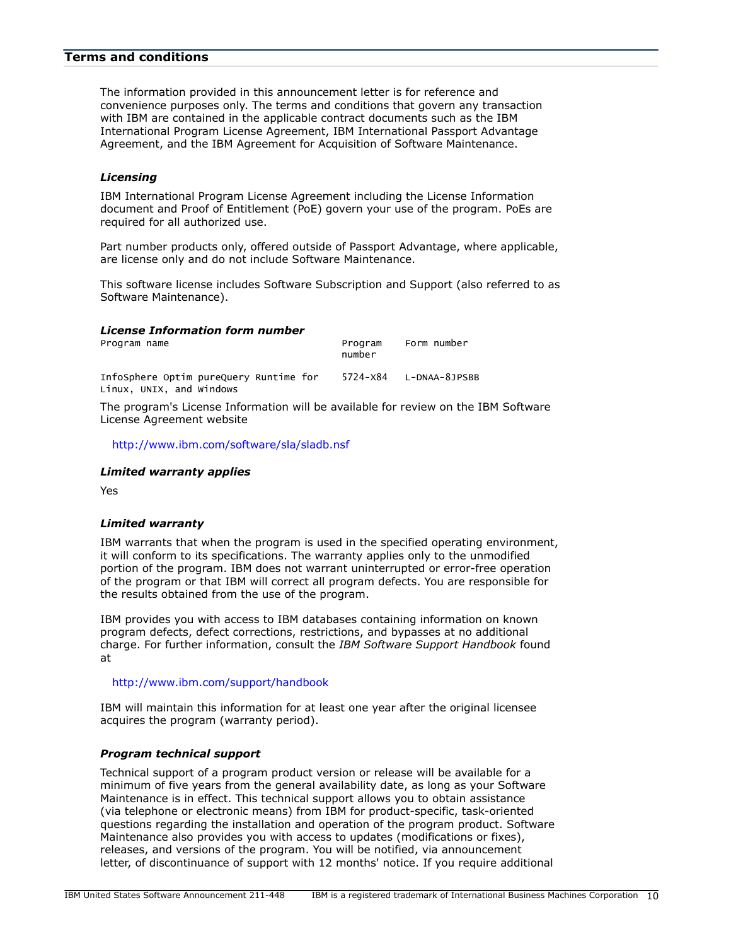# <span id="page-9-0"></span>Terms and conditions

The information provided in this announcement letter is for reference and convenience purposes only. The terms and conditions that govern any transaction with IBM are contained in the applicable contract documents such as the IBM International Program License Agreement, IBM International Passport Advantage Agreement, and the IBM Agreement for Acquisition of Software Maintenance.

# *Licensing*

IBM International Program License Agreement including the License Information document and Proof of Entitlement (PoE) govern your use of the program. PoEs are required for all authorized use.

Part number products only, offered outside of Passport Advantage, where applicable, are license only and do not include Software Maintenance.

This software license includes Software Subscription and Support (also referred to as Software Maintenance).

# *License Information form number*

| Program name                                                       | Program<br>number | Form number   |
|--------------------------------------------------------------------|-------------------|---------------|
| InfoSphere Optim pureQuery Runtime for<br>Linux, UNIX, and Windows | 5724-X84          | L-DNAA-8JPSBB |

The program's License Information will be available for review on the IBM Software License Agreement website

<http://www.ibm.com/software/sla/sladb.nsf>

# *Limited warranty applies*

Yes

## *Limited warranty*

IBM warrants that when the program is used in the specified operating environment, it will conform to its specifications. The warranty applies only to the unmodified portion of the program. IBM does not warrant uninterrupted or error-free operation of the program or that IBM will correct all program defects. You are responsible for the results obtained from the use of the program.

IBM provides you with access to IBM databases containing information on known program defects, defect corrections, restrictions, and bypasses at no additional charge. For further information, consult the *IBM Software Support Handbook* found at

<http://www.ibm.com/support/handbook>

IBM will maintain this information for at least one year after the original licensee acquires the program (warranty period).

## *Program technical support*

Technical support of a program product version or release will be available for a minimum of five years from the general availability date, as long as your Software Maintenance is in effect. This technical support allows you to obtain assistance (via telephone or electronic means) from IBM for product-specific, task-oriented questions regarding the installation and operation of the program product. Software Maintenance also provides you with access to updates (modifications or fixes), releases, and versions of the program. You will be notified, via announcement letter, of discontinuance of support with 12 months' notice. If you require additional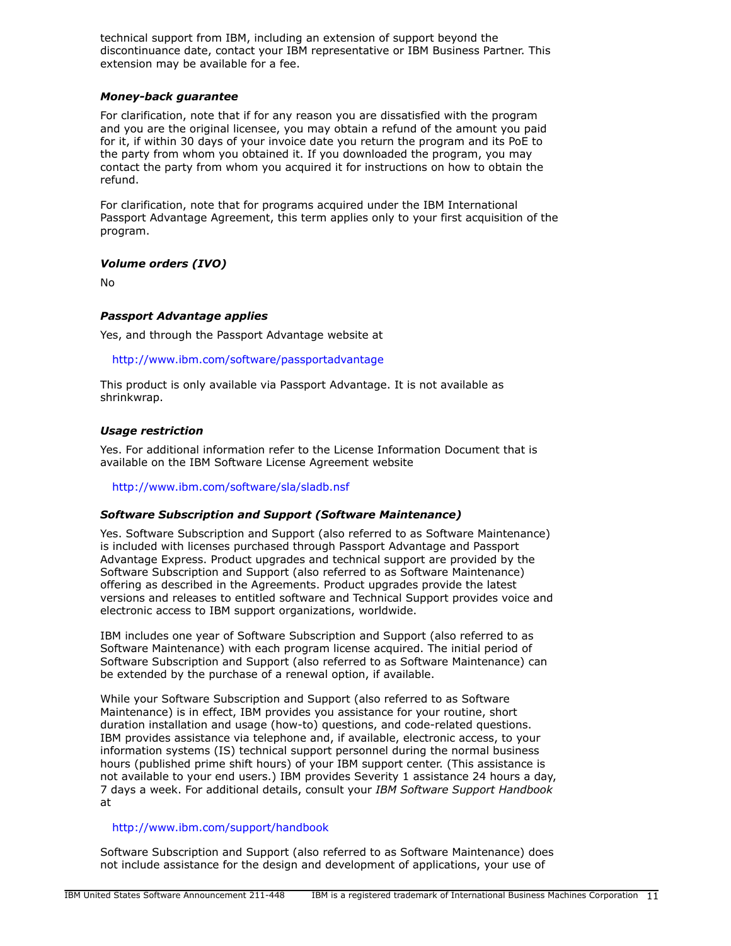technical support from IBM, including an extension of support beyond the discontinuance date, contact your IBM representative or IBM Business Partner. This extension may be available for a fee.

# *Money-back guarantee*

For clarification, note that if for any reason you are dissatisfied with the program and you are the original licensee, you may obtain a refund of the amount you paid for it, if within 30 days of your invoice date you return the program and its PoE to the party from whom you obtained it. If you downloaded the program, you may contact the party from whom you acquired it for instructions on how to obtain the refund.

For clarification, note that for programs acquired under the IBM International Passport Advantage Agreement, this term applies only to your first acquisition of the program.

# *Volume orders (IVO)*

No

# *Passport Advantage applies*

Yes, and through the Passport Advantage website at

<http://www.ibm.com/software/passportadvantage>

This product is only available via Passport Advantage. It is not available as shrinkwrap.

# *Usage restriction*

Yes. For additional information refer to the License Information Document that is available on the IBM Software License Agreement website

<http://www.ibm.com/software/sla/sladb.nsf>

# *Software Subscription and Support (Software Maintenance)*

Yes. Software Subscription and Support (also referred to as Software Maintenance) is included with licenses purchased through Passport Advantage and Passport Advantage Express. Product upgrades and technical support are provided by the Software Subscription and Support (also referred to as Software Maintenance) offering as described in the Agreements. Product upgrades provide the latest versions and releases to entitled software and Technical Support provides voice and electronic access to IBM support organizations, worldwide.

IBM includes one year of Software Subscription and Support (also referred to as Software Maintenance) with each program license acquired. The initial period of Software Subscription and Support (also referred to as Software Maintenance) can be extended by the purchase of a renewal option, if available.

While your Software Subscription and Support (also referred to as Software Maintenance) is in effect, IBM provides you assistance for your routine, short duration installation and usage (how-to) questions, and code-related questions. IBM provides assistance via telephone and, if available, electronic access, to your information systems (IS) technical support personnel during the normal business hours (published prime shift hours) of your IBM support center. (This assistance is not available to your end users.) IBM provides Severity 1 assistance 24 hours a day, 7 days a week. For additional details, consult your *IBM Software Support Handbook* at

# <http://www.ibm.com/support/handbook>

Software Subscription and Support (also referred to as Software Maintenance) does not include assistance for the design and development of applications, your use of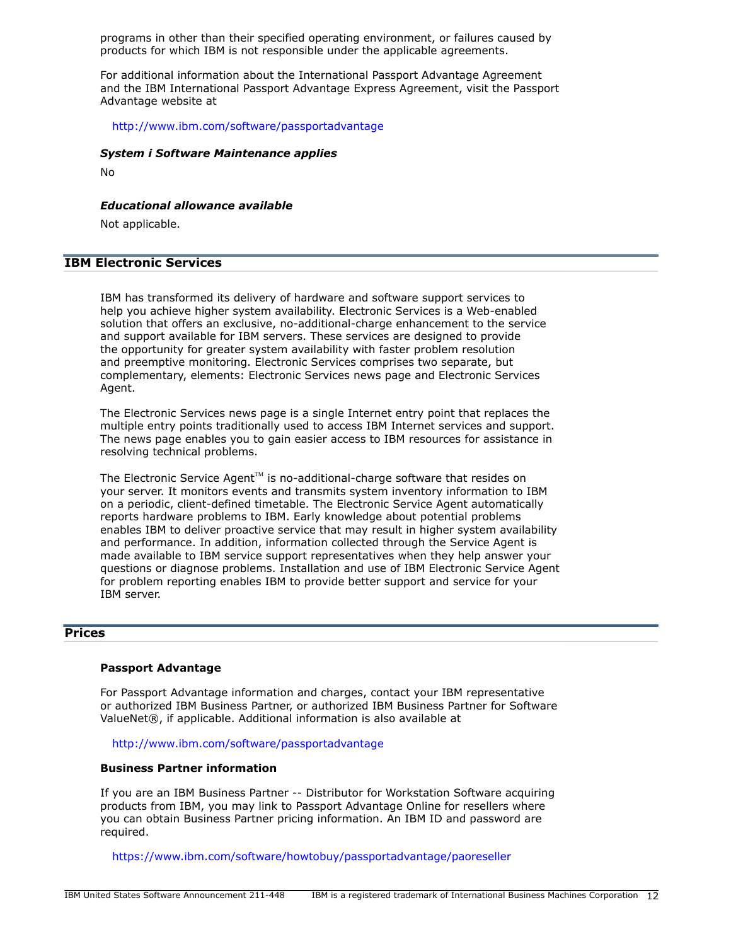programs in other than their specified operating environment, or failures caused by products for which IBM is not responsible under the applicable agreements.

For additional information about the International Passport Advantage Agreement and the IBM International Passport Advantage Express Agreement, visit the Passport Advantage website at

<http://www.ibm.com/software/passportadvantage>

#### *System i Software Maintenance applies*

No

#### *Educational allowance available*

Not applicable.

# IBM Electronic Services

IBM has transformed its delivery of hardware and software support services to help you achieve higher system availability. Electronic Services is a Web-enabled solution that offers an exclusive, no-additional-charge enhancement to the service and support available for IBM servers. These services are designed to provide the opportunity for greater system availability with faster problem resolution and preemptive monitoring. Electronic Services comprises two separate, but complementary, elements: Electronic Services news page and Electronic Services Agent.

The Electronic Services news page is a single Internet entry point that replaces the multiple entry points traditionally used to access IBM Internet services and support. The news page enables you to gain easier access to IBM resources for assistance in resolving technical problems.

The Electronic Service Agent<sup> $M$ </sup> is no-additional-charge software that resides on your server. It monitors events and transmits system inventory information to IBM on a periodic, client-defined timetable. The Electronic Service Agent automatically reports hardware problems to IBM. Early knowledge about potential problems enables IBM to deliver proactive service that may result in higher system availability and performance. In addition, information collected through the Service Agent is made available to IBM service support representatives when they help answer your questions or diagnose problems. Installation and use of IBM Electronic Service Agent for problem reporting enables IBM to provide better support and service for your IBM server.

# <span id="page-11-0"></span>**Prices**

#### Passport Advantage

For Passport Advantage information and charges, contact your IBM representative or authorized IBM Business Partner, or authorized IBM Business Partner for Software ValueNet®, if applicable. Additional information is also available at

<http://www.ibm.com/software/passportadvantage>

#### Business Partner information

If you are an IBM Business Partner -- Distributor for Workstation Software acquiring products from IBM, you may link to Passport Advantage Online for resellers where you can obtain Business Partner pricing information. An IBM ID and password are required.

<https://www.ibm.com/software/howtobuy/passportadvantage/paoreseller>